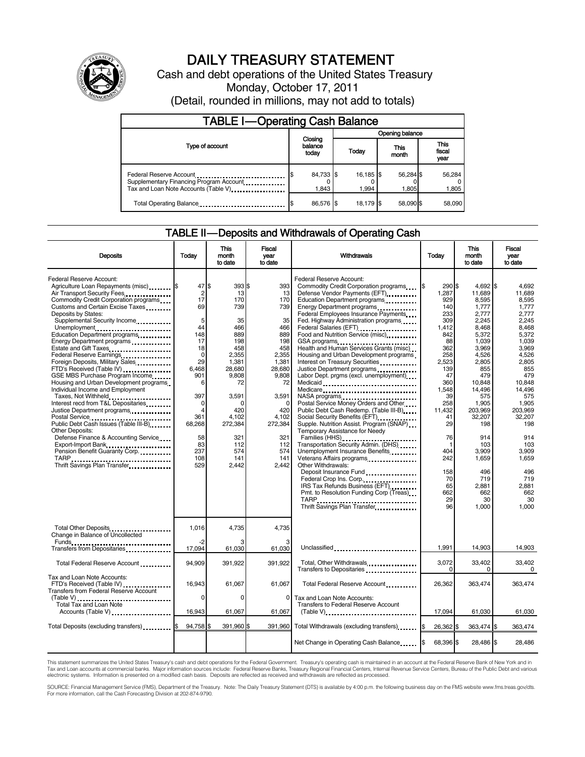

# DAILY TREASURY STATEMENT

Cash and debt operations of the United States Treasury Monday, October 17, 2011 (Detail, rounded in millions, may not add to totals)

| <b>TABLE I-Operating Cash Balance</b>                                                                       |                             |                    |                    |                               |  |  |
|-------------------------------------------------------------------------------------------------------------|-----------------------------|--------------------|--------------------|-------------------------------|--|--|
|                                                                                                             |                             | Opening balance    |                    |                               |  |  |
| Type of account                                                                                             | Closing<br>balance<br>today | Today              | This<br>month      | <b>This</b><br>fiscal<br>year |  |  |
| Federal Reserve Account<br>Supplementary Financing Program Account<br>Tax and Loan Note Accounts (Table V). | 84,733 \$<br>1.843          | 16,185 \$<br>1.994 | 56,284 \$<br>1.805 | 56,284<br>1,805               |  |  |
| Total Operating Balance                                                                                     | 86,576 \$                   | 18.179 \$          | 58.090 \$          | 58,090                        |  |  |

## TABLE II — Deposits and Withdrawals of Operating Cash

| <b>Deposits</b>                                                                                                                                                                                                                                                                                                                                                                                                                                                                                                                                                                                                                                                                                                                                                                                                                                                               | Todav                                                                                                                                                                               | <b>This</b><br>month<br>to date                                                                                                                                                       | <b>Fiscal</b><br>year<br>to date                                                                                                                                                          | Withdrawals                                                                                                                                                                                                                                                                                                                                                                                                                                                                                                                                                                                                                                                                                                                                                                                                                                                                                                                                                                                                                                                                                                                                                 | Today                                                                                                                                                                                                                                    | <b>This</b><br>month<br>to date                                                                                                                                                                                                                                           | Fiscal<br>vear<br>to date                                                                                                                                                                                                                                            |
|-------------------------------------------------------------------------------------------------------------------------------------------------------------------------------------------------------------------------------------------------------------------------------------------------------------------------------------------------------------------------------------------------------------------------------------------------------------------------------------------------------------------------------------------------------------------------------------------------------------------------------------------------------------------------------------------------------------------------------------------------------------------------------------------------------------------------------------------------------------------------------|-------------------------------------------------------------------------------------------------------------------------------------------------------------------------------------|---------------------------------------------------------------------------------------------------------------------------------------------------------------------------------------|-------------------------------------------------------------------------------------------------------------------------------------------------------------------------------------------|-------------------------------------------------------------------------------------------------------------------------------------------------------------------------------------------------------------------------------------------------------------------------------------------------------------------------------------------------------------------------------------------------------------------------------------------------------------------------------------------------------------------------------------------------------------------------------------------------------------------------------------------------------------------------------------------------------------------------------------------------------------------------------------------------------------------------------------------------------------------------------------------------------------------------------------------------------------------------------------------------------------------------------------------------------------------------------------------------------------------------------------------------------------|------------------------------------------------------------------------------------------------------------------------------------------------------------------------------------------------------------------------------------------|---------------------------------------------------------------------------------------------------------------------------------------------------------------------------------------------------------------------------------------------------------------------------|----------------------------------------------------------------------------------------------------------------------------------------------------------------------------------------------------------------------------------------------------------------------|
| Federal Reserve Account:<br>Agriculture Loan Repayments (misc) \$<br>Air Transport Security Fees<br>Commodity Credit Corporation programs<br>Customs and Certain Excise Taxes<br>Deposits by States:<br>Supplemental Security Income<br>Unemployment<br>Education Department programs<br>Energy Department programs<br>Estate and Gift Taxes<br>Federal Reserve Earnings<br>Foreign Deposits, Military Sales<br>FTD's Received (Table IV)<br>GSE MBS Purchase Program Income<br>Housing and Urban Development programs<br>Individual Income and Employment<br>Taxes, Not Withheld<br>Interest recd from T&L Depositaries<br>Justice Department programs<br>Postal Service<br>Public Debt Cash Issues (Table III-B)<br>Other Deposits:<br>Defense Finance & Accounting Service<br>Export-Import Bank<br>Pension Benefit Guaranty Corp.<br>TARP<br>Thrift Savings Plan Transfer | 47S<br>2<br>17<br>69<br>5<br>44<br>148<br>17<br>18<br>$\mathbf 0$<br>29<br>6,468<br>901<br>6<br>397<br>$\Omega$<br>$\overline{4}$<br>361<br>68,268<br>58<br>83<br>237<br>108<br>529 | 393 \$<br>13<br>170<br>739<br>35<br>466<br>889<br>198<br>458<br>2,355<br>1,381<br>28,680<br>9,808<br>72<br>3.591<br>C<br>420<br>4.102<br>272,384<br>321<br>112<br>574<br>141<br>2,442 | 393<br>13<br>170<br>739<br>35<br>466<br>889<br>198<br>458<br>2,355<br>1,381<br>28,680<br>9,808<br>72<br>3.591<br>$\Omega$<br>420<br>4,102<br>272,384<br>321<br>112<br>574<br>141<br>2,442 | Federal Reserve Account:<br>Commodity Credit Corporation programs<br>Defense Vendor Payments (EFT)<br>Education Department programs<br>Energy Department programs<br><br>Federal Employees Insurance Payments<br>Fed. Highway Administration programs<br>Federal Salaries (EFT)<br>Food and Nutrition Service (misc)<br>GSA programs<br><br>Health and Human Services Grants (misc)<br>Housing and Urban Development programs<br>Interest on Treasury Securities<br>Justice Department programs<br><br>Labor Dept. prgms (excl. unemployment)<br>Medicaid<br>Medicare<br>NASA programs<br>Postal Service Money Orders and Other<br>Public Debt Cash Redemp. (Table III-B)<br>Social Security Benefits (EFT)<br>1991 - The Social Security Benefits (EFT)<br>Supple. Nutrition Assist. Program (SNAP)<br>Temporary Assistance for Needy<br>Families (HHS)<br>Transportation Security Admin. (DHS)<br>Unemployment Insurance Benefits<br>Veterans Affairs programs<br><br>Other Withdrawals:<br>Deposit Insurance Fund<br>Federal Crop Ins. Corp<br>IRS Tax Refunds Business (EFT)<br>Pmt. to Resolution Funding Corp (Treas)<br>Thrift Savings Plan Transfer | 290 \$<br>I\$<br>1.287<br>929<br>140<br>233<br>309<br>1,412<br>842<br>88<br>362<br>258<br>2,523<br>139<br>47<br>360<br>1.548<br>39<br>258<br>11,432<br>41<br>29<br>76<br>$\mathbf 1$<br>404<br>242<br>158<br>70<br>65<br>662<br>29<br>96 | $4.692$ \$<br>11.689<br>8,595<br>1,777<br>2,777<br>2,245<br>8,468<br>5,372<br>1,039<br>3.969<br>4,526<br>2,805<br>855<br>479<br>10.848<br>14.496<br>575<br>1,905<br>203,969<br>32,207<br>198<br>914<br>103<br>3.909<br>1.659<br>496<br>719<br>2,881<br>662<br>30<br>1.000 | 4.692<br>11.689<br>8.595<br>1,777<br>2,777<br>2,245<br>8.468<br>5.372<br>1.039<br>3.969<br>4,526<br>2,805<br>855<br>479<br>10.848<br>14.496<br>575<br>1.905<br>203.969<br>32.207<br>198<br>914<br>103<br>3.909<br>1.659<br>496<br>719<br>2.881<br>662<br>30<br>1.000 |
| Total Other Deposits<br>Change in Balance of Uncollected                                                                                                                                                                                                                                                                                                                                                                                                                                                                                                                                                                                                                                                                                                                                                                                                                      | 1,016<br>-2                                                                                                                                                                         | 4,735                                                                                                                                                                                 | 4,735                                                                                                                                                                                     |                                                                                                                                                                                                                                                                                                                                                                                                                                                                                                                                                                                                                                                                                                                                                                                                                                                                                                                                                                                                                                                                                                                                                             |                                                                                                                                                                                                                                          |                                                                                                                                                                                                                                                                           |                                                                                                                                                                                                                                                                      |
| Transfers from Depositaries                                                                                                                                                                                                                                                                                                                                                                                                                                                                                                                                                                                                                                                                                                                                                                                                                                                   | 17,094                                                                                                                                                                              | 61,030                                                                                                                                                                                | 61,030                                                                                                                                                                                    | Unclassified                                                                                                                                                                                                                                                                                                                                                                                                                                                                                                                                                                                                                                                                                                                                                                                                                                                                                                                                                                                                                                                                                                                                                | 1,991                                                                                                                                                                                                                                    | 14,903                                                                                                                                                                                                                                                                    | 14,903                                                                                                                                                                                                                                                               |
| Total Federal Reserve Account                                                                                                                                                                                                                                                                                                                                                                                                                                                                                                                                                                                                                                                                                                                                                                                                                                                 | 94,909                                                                                                                                                                              | 391,922                                                                                                                                                                               | 391.922                                                                                                                                                                                   | Total, Other Withdrawals<br>Transfers to Depositaries                                                                                                                                                                                                                                                                                                                                                                                                                                                                                                                                                                                                                                                                                                                                                                                                                                                                                                                                                                                                                                                                                                       | 3.072<br>$\Omega$                                                                                                                                                                                                                        | 33,402<br>0                                                                                                                                                                                                                                                               | 33.402<br>$\Omega$                                                                                                                                                                                                                                                   |
| Tax and Loan Note Accounts:<br>FTD's Received (Table IV)<br><b>Transfers from Federal Reserve Account</b>                                                                                                                                                                                                                                                                                                                                                                                                                                                                                                                                                                                                                                                                                                                                                                     | 16,943                                                                                                                                                                              | 61,067                                                                                                                                                                                | 61,067                                                                                                                                                                                    | Total Federal Reserve Account                                                                                                                                                                                                                                                                                                                                                                                                                                                                                                                                                                                                                                                                                                                                                                                                                                                                                                                                                                                                                                                                                                                               | 26,362                                                                                                                                                                                                                                   | 363,474                                                                                                                                                                                                                                                                   | 363,474                                                                                                                                                                                                                                                              |
| (Table V)<br>Total Tax and Loan Note<br>Accounts (Table V)                                                                                                                                                                                                                                                                                                                                                                                                                                                                                                                                                                                                                                                                                                                                                                                                                    | 0<br>16,943                                                                                                                                                                         | 0<br>61,067                                                                                                                                                                           | $\mathbf{0}$<br>61,067                                                                                                                                                                    | Tax and Loan Note Accounts:<br>Transfers to Federal Reserve Account<br>$(Table V)$                                                                                                                                                                                                                                                                                                                                                                                                                                                                                                                                                                                                                                                                                                                                                                                                                                                                                                                                                                                                                                                                          | 17,094                                                                                                                                                                                                                                   | 61,030                                                                                                                                                                                                                                                                    | 61,030                                                                                                                                                                                                                                                               |
| Total Deposits (excluding transfers)                                                                                                                                                                                                                                                                                                                                                                                                                                                                                                                                                                                                                                                                                                                                                                                                                                          | 94,758 \$                                                                                                                                                                           | 391,960 \$                                                                                                                                                                            | 391.960                                                                                                                                                                                   | Total Withdrawals (excluding transfers) [\$                                                                                                                                                                                                                                                                                                                                                                                                                                                                                                                                                                                                                                                                                                                                                                                                                                                                                                                                                                                                                                                                                                                 | 26,362 \$                                                                                                                                                                                                                                | 363.474 \$                                                                                                                                                                                                                                                                | 363.474                                                                                                                                                                                                                                                              |
|                                                                                                                                                                                                                                                                                                                                                                                                                                                                                                                                                                                                                                                                                                                                                                                                                                                                               |                                                                                                                                                                                     |                                                                                                                                                                                       |                                                                                                                                                                                           | Net Change in Operating Cash Balance                                                                                                                                                                                                                                                                                                                                                                                                                                                                                                                                                                                                                                                                                                                                                                                                                                                                                                                                                                                                                                                                                                                        | 68,396 \$<br>I\$                                                                                                                                                                                                                         | 28,486 \$                                                                                                                                                                                                                                                                 | 28,486                                                                                                                                                                                                                                                               |

This statement summarizes the United States Treasury's cash and debt operations for the Federal Government. Treasury's operating cash is maintained in an account at the Federal Reserve Bank of New York and in<br>Tax and Loan

SOURCE: Financial Management Service (FMS), Department of the Treasury. Note: The Daily Treasury Statement (DTS) is available by 4:00 p.m. the following business day on the FMS website www.fms.treas.gov/dts.<br>For more infor